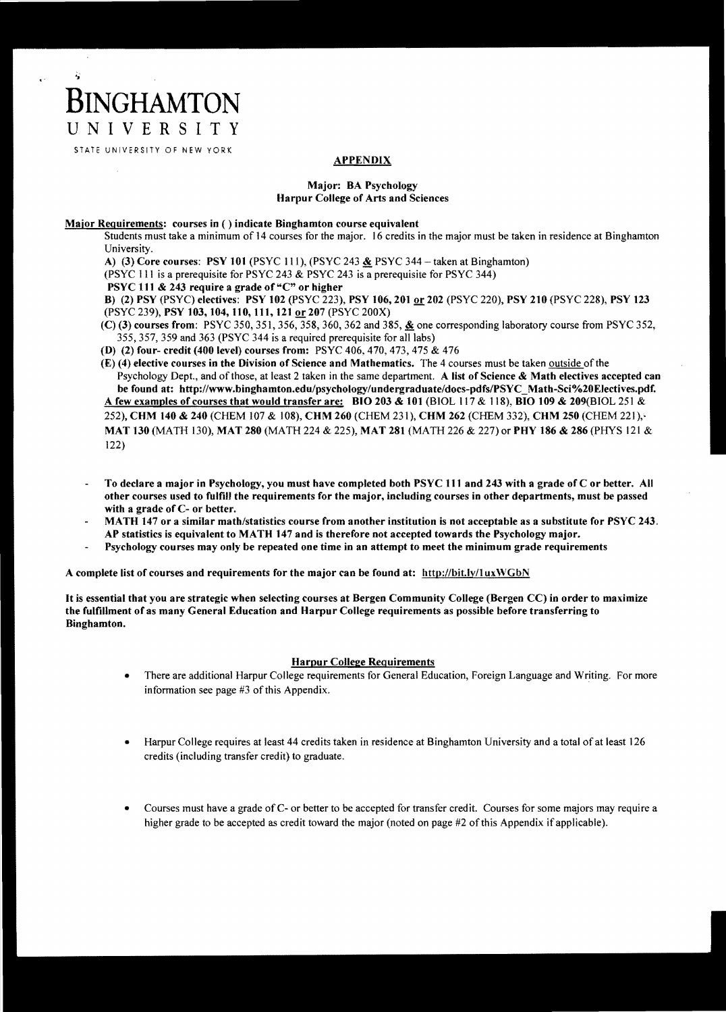### **APPENDIX**

#### Major: BA Psychology Harpur College of Arts and Sciences

#### Major Requirements: courses in ( ) indicate Binghamton course equivalent

Students must take a minimum of 14 courses for the major. 16 credits in the major must be taken in residence at Binghamton University.

A) (3) Core courses: PSY 101 (PSYC 111), (PSYC 243  $&$  PSYC 344 - taken at Binghamton)

(PSYC III is a prerequisite for PSYC 243 & PSYC 243 is a prerequisite for PSYC 344)

PSYC 111 & 243 require a grade of "C" or higher

**BINGHAMTON** 

亳

UNIVERSITY STATE UNIVERSITY OF NEW YORK

> B) (2) PSY (PSYC) electives: PSY 102 (PSYC 223), PSY 106, 201 or 202 (PSYC 220), PSY 210 (PSYC 228), PSY 123 (PSYC 239), PSY 103, 104, 110, 111, 121 or 207 (PSYC 200X)

- (C) (3) courses from: PSYC 350, 351, 356, 358, 360, 362 and 385,  $\⊂>6$  one corresponding laboratory course from PSYC 352, 355,357,359 and 363 (PSYC 344 is a required prerequisite for all labs)
- (D) (2) four- credit (400 level) courses from: PSYC 406, 470, 473, 475 & 476

(E) (4) elective courses in the Division of Science and Mathematics. The 4 courses must be taken outside of the Psychology Dept., and of those, at least 2 taken in the same department. A list of Science & Math electives accepted can be found at: http://www.binghamton.edu/psychology/undergraduate/docs-pdfsIPSYC\_Math-Sci%20Electives.pdf. A few examples of courses that would transfer are: BIO 203 & 101 (BIOL 117 & 118), BID 109 & 209(BIOL 251 & 252), CHM 140 & 240 (CHEM 107 & 108), CHM 260 (CHEM 231), CHM 262 (CHEM 332), CHM 250 (CHEM 221), MAT 130 (MATH 130), MAT 280 (MATH 224 & 225), MAT 281 (MATH 226 & 227) or PHY 186 & 286 (PHYS 121 & 122)

- To declare a major in Psychology, you must have completed both PSYC III and 243 with a grade of C or better. All other courses used to fulfill the requirements for the major, including courses in other departments, must be passed with a grade of C- or better.
- MATH 147 or a similar math/statistics course from another institution is not acceptable as a substitute for PSYC 243. AP statistics is equivalent to MATH 147 and is therefore not accepted towards the Psychology major.
- Psychology courses may only be repeated one time in an attempt to meet the minimum grade requirements

A complete list of courses and requirements for the major can be found at: http://bit.ly/1uxWGbN

It is essential that you are strategic when selecting courses at Bergen Community College (Bergen CC) in order to maximize the fulfillment of as many General Education and Harpur College requirements as possible before transferring to Binghamton.

### Harpur College Requirements

- There are additional Harpur College requirements for General Education, Foreign Language and Writing. For more information see page #3 of this Appendix.
- Harpur College requires at least 44 credits taken in residence at Binghamton University and a total of at least 126 credits (including transfer credit) to graduate.
- Courses must have a grade of C- or better to be accepted for transfer credit. Courses for some majors may require a higher grade to be accepted as credit toward the major (noted on page #2 of this Appendix if applicable).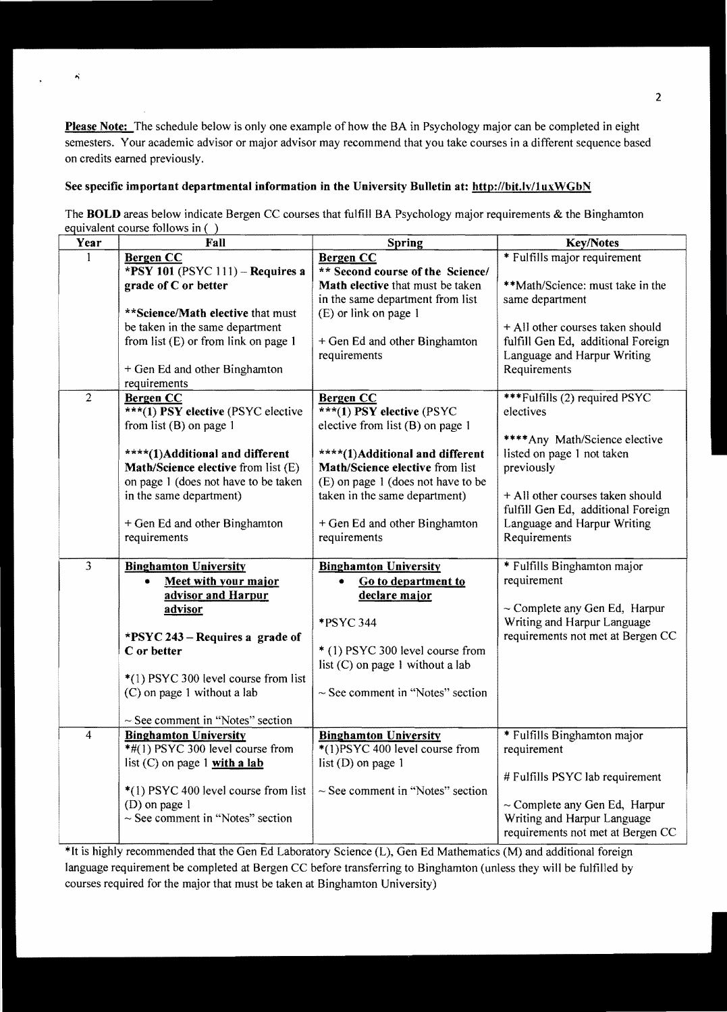Please Note: The schedule below is only one example of how the BA in Psychology major can be completed in eight semesters. Your academic advisor or major advisor may recommend that you take courses in a different sequence based on credits earned previously.

## See specific important departmental information in the University Bulletin at: http://bit.lv/1uxWGbN

 $\hat{\mathbf{A}}$ 

The **BOLD** areas below indicate Bergen CC courses that fulfill BA Psychology major requirements & the Binghamton equivalent course follows in ( )

| Year           | Fall                                            | <b>Spring</b>                         | <b>Key/Notes</b>                           |
|----------------|-------------------------------------------------|---------------------------------------|--------------------------------------------|
|                | <b>Bergen CC</b>                                | Bergen CC                             | * Fulfills major requirement               |
|                | *PSY 101 (PSYC 111) - Requires a                | ** Second course of the Science/      |                                            |
|                | grade of C or better                            | Math elective that must be taken      | **Math/Science: must take in the           |
|                |                                                 | in the same department from list      | same department                            |
|                | ** Science/Math elective that must              | (E) or link on page 1                 |                                            |
|                | be taken in the same department                 |                                       | + All other courses taken should           |
|                | from list $(E)$ or from link on page 1          | + Gen Ed and other Binghamton         | fulfill Gen Ed, additional Foreign         |
|                |                                                 | requirements                          | Language and Harpur Writing                |
|                | + Gen Ed and other Binghamton                   |                                       | Requirements                               |
|                | requirements                                    |                                       |                                            |
| $\overline{2}$ | <b>Bergen CC</b>                                | Bergen CC                             | <b>***Fulfills (2) required PSYC</b>       |
|                | ***(1) PSY elective (PSYC elective              | ***(1) PSY elective (PSYC             | electives                                  |
|                | from list $(B)$ on page 1                       | elective from list (B) on page 1      |                                            |
|                |                                                 |                                       | ****Any Math/Science elective              |
|                | ****(1)Additional and different                 | ****(1)Additional and different       | listed on page 1 not taken                 |
|                | Math/Science elective from list (E)             | Math/Science elective from list       | previously                                 |
|                | on page 1 (does not have to be taken            | (E) on page 1 (does not have to be    |                                            |
|                | in the same department)                         | taken in the same department)         | + All other courses taken should           |
|                |                                                 |                                       | fulfill Gen Ed, additional Foreign         |
|                | + Gen Ed and other Binghamton                   | + Gen Ed and other Binghamton         | Language and Harpur Writing                |
|                | requirements                                    | requirements                          | Requirements                               |
| 3              | <b>Binghamton University</b>                    |                                       |                                            |
|                |                                                 | <b>Binghamton University</b>          | * Fulfills Binghamton major<br>requirement |
|                | Meet with your major<br>۰<br>advisor and Harpur | Go to department to<br>declare major  |                                            |
|                | advisor                                         |                                       | $\sim$ Complete any Gen Ed, Harpur         |
|                |                                                 | *PSYC 344                             | Writing and Harpur Language                |
|                | * $PSYC 243 - Requirements 243$                 |                                       | requirements not met at Bergen CC          |
|                | C or better                                     | * (1) PSYC 300 level course from      |                                            |
|                |                                                 | list $(C)$ on page 1 without a lab    |                                            |
|                | *(1) PSYC 300 level course from list            |                                       |                                            |
|                | (C) on page 1 without a lab                     | $\sim$ See comment in "Notes" section |                                            |
|                |                                                 |                                       |                                            |
|                | $\sim$ See comment in "Notes" section           |                                       |                                            |
| 4              | <b>Binghamton University</b>                    | <b>Binghamton University</b>          | * Fulfills Binghamton major                |
|                | $*$ #(1) PSYC 300 level course from             | *(1)PSYC 400 level course from        | requirement                                |
|                | list $(C)$ on page 1 with a lab                 | list $(D)$ on page 1                  |                                            |
|                |                                                 |                                       | # Fulfills PSYC lab requirement            |
|                | *(1) PSYC 400 level course from list            | $\sim$ See comment in "Notes" section |                                            |
|                | (D) on page 1                                   |                                       | $\sim$ Complete any Gen Ed, Harpur         |
|                | $\sim$ See comment in "Notes" section           |                                       | Writing and Harpur Language                |
|                |                                                 |                                       | requirements not met at Bergen CC          |

\*It is highly recommended that the Gen Ed Laboratory Science (L), Gen Ed Mathematics (M) and additional foreign language requirement be completed at Bergen CC before transferring to Binghamton (unless they will be fulfilled by courses required for the major that must be taken at Binghamton University)